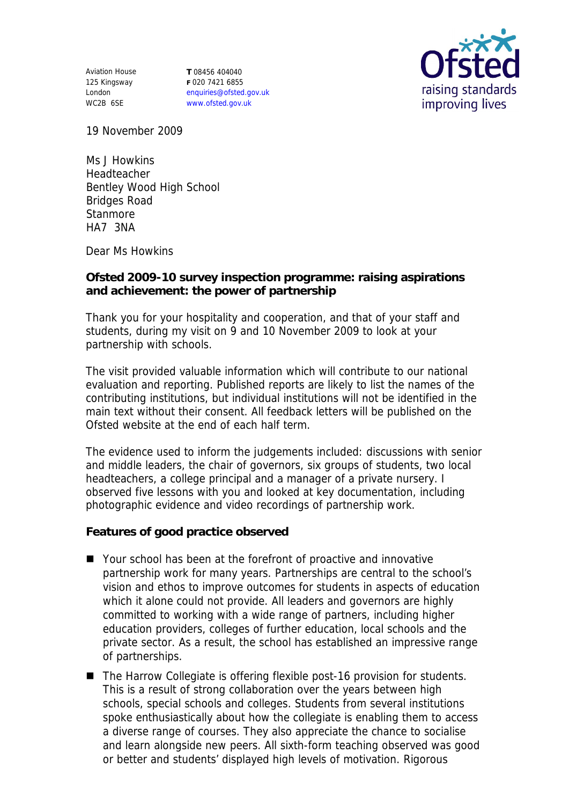Aviation House 125 Kingsway London WC2B 6SE

**T** 08456 404040 **F** 020 7421 6855 enquiries@ofsted.gov.uk www.ofsted.gov.uk



19 November 2009

Ms J Howkins Headteacher Bentley Wood High School Bridges Road **Stanmore** HA7 3NA

Dear Ms Howkins

**Ofsted 2009-10 survey inspection programme: raising aspirations and achievement: the power of partnership**

Thank you for your hospitality and cooperation, and that of your staff and students, during my visit on 9 and 10 November 2009 to look at your partnership with schools.

The visit provided valuable information which will contribute to our national evaluation and reporting. Published reports are likely to list the names of the contributing institutions, but individual institutions will not be identified in the main text without their consent. All feedback letters will be published on the Ofsted website at the end of each half term.

The evidence used to inform the judgements included: discussions with senior and middle leaders, the chair of governors, six groups of students, two local headteachers, a college principal and a manager of a private nursery. I observed five lessons with you and looked at key documentation, including photographic evidence and video recordings of partnership work.

**Features of good practice observed**

- Your school has been at the forefront of proactive and innovative partnership work for many years. Partnerships are central to the school's vision and ethos to improve outcomes for students in aspects of education which it alone could not provide. All leaders and governors are highly committed to working with a wide range of partners, including higher education providers, colleges of further education, local schools and the private sector. As a result, the school has established an impressive range of partnerships.
- The Harrow Collegiate is offering flexible post-16 provision for students. This is a result of strong collaboration over the years between high schools, special schools and colleges. Students from several institutions spoke enthusiastically about how the collegiate is enabling them to access a diverse range of courses. They also appreciate the chance to socialise and learn alongside new peers. All sixth-form teaching observed was good or better and students' displayed high levels of motivation. Rigorous